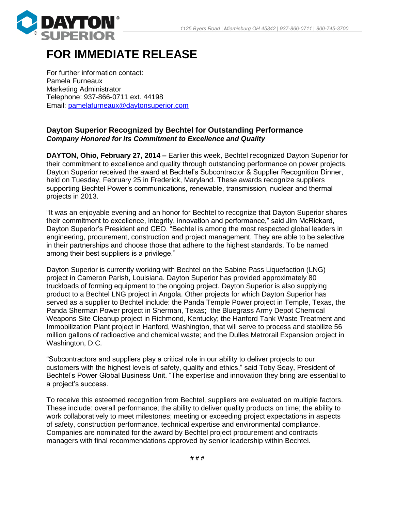

## **FOR IMMEDIATE RELEASE**

For further information contact: Pamela Furneaux Marketing Administrator Telephone: 937-866-0711 ext. 44198 Email: [pamelafurneaux@daytonsuperior.com](mailto:pamelafurneaux@daytonsuperior.com)

## **Dayton Superior Recognized by Bechtel for Outstanding Performance** *Company Honored for its Commitment to Excellence and Quality*

**DAYTON, Ohio, February 27, 2014 –** Earlier this week, Bechtel recognized Dayton Superior for their commitment to excellence and quality through outstanding performance on power projects. Dayton Superior received the award at Bechtel's Subcontractor & Supplier Recognition Dinner, held on Tuesday, February 25 in Frederick, Maryland. These awards recognize suppliers supporting Bechtel Power's communications, renewable, transmission, nuclear and thermal projects in 2013.

"It was an enjoyable evening and an honor for Bechtel to recognize that Dayton Superior shares their commitment to excellence, integrity, innovation and performance," said Jim McRickard, Dayton Superior's President and CEO. "Bechtel is among the most respected global leaders in engineering, procurement, construction and project management. They are able to be selective in their partnerships and choose those that adhere to the highest standards. To be named among their best suppliers is a privilege."

Dayton Superior is currently working with Bechtel on the Sabine Pass Liquefaction (LNG) project in Cameron Parish, Louisiana. Dayton Superior has provided approximately 80 truckloads of forming equipment to the ongoing project. Dayton Superior is also supplying product to a Bechtel LNG project in Angola. Other projects for which Dayton Superior has served as a supplier to Bechtel include: the Panda Temple Power project in Temple, Texas, the Panda Sherman Power project in Sherman, Texas; the Bluegrass Army Depot Chemical Weapons Site Cleanup project in Richmond, Kentucky; the Hanford Tank Waste Treatment and Immobilization Plant project in Hanford, Washington, that will serve to process and stabilize 56 million gallons of radioactive and chemical waste; and the Dulles Metrorail Expansion project in Washington, D.C.

"Subcontractors and suppliers play a critical role in our ability to deliver projects to our customers with the highest levels of safety, quality and ethics," said Toby Seay, President of Bechtel's Power Global Business Unit. "The expertise and innovation they bring are essential to a project's success.

To receive this esteemed recognition from Bechtel, suppliers are evaluated on multiple factors. These include: overall performance; the ability to deliver quality products on time; the ability to work collaboratively to meet milestones; meeting or exceeding project expectations in aspects of safety, construction performance, technical expertise and environmental compliance. Companies are nominated for the award by Bechtel project procurement and contracts managers with final recommendations approved by senior leadership within Bechtel.